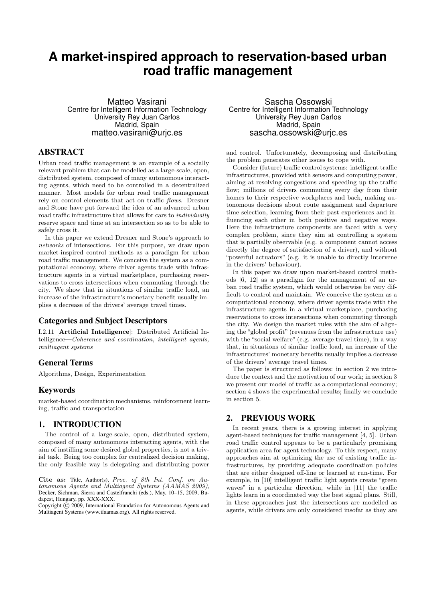# **A market-inspired approach to reservation-based urban road traffic management**

Matteo Vasirani Centre for Intelligent Information Technology University Rey Juan Carlos Madrid, Spain matteo.vasirani@urjc.es

# ABSTRACT

Urban road traffic management is an example of a socially relevant problem that can be modelled as a large-scale, open, distributed system, composed of many autonomous interacting agents, which need to be controlled in a decentralized manner. Most models for urban road traffic management rely on control elements that act on traffic flows. Dresner and Stone have put forward the idea of an advanced urban road traffic infrastructure that allows for cars to individually reserve space and time at an intersection so as to be able to safely cross it.

In this paper we extend Dresner and Stone's approach to networks of intersections. For this purpose, we draw upon market-inspired control methods as a paradigm for urban road traffic management. We conceive the system as a computational economy, where driver agents trade with infrastructure agents in a virtual marketplace, purchasing reservations to cross intersections when commuting through the city. We show that in situations of similar traffic load, an increase of the infrastructure's monetary benefit usually implies a decrease of the drivers' average travel times.

# Categories and Subject Descriptors

I.2.11 [Artificial Intelligence]: Distributed Artificial Intelligence—Coherence and coordination, intelligent agents, multiagent systems

### General Terms

Algorithms, Design, Experimentation

### Keywords

market-based coordination mechanisms, reinforcement learning, traffic and transportation

# 1. INTRODUCTION

The control of a large-scale, open, distributed system, composed of many autonomous interacting agents, with the aim of instilling some desired global properties, is not a trivial task. Being too complex for centralized decision making, the only feasible way is delegating and distributing power

Cite as: Title, Author(s), Proc. of 8th Int. Conf. on Autonomous Agents and Multiagent Systems (AAMAS 2009), Decker, Sichman, Sierra and Castelfranchi (eds.), May, 10–15, 2009, Budapest, Hungary, pp. XXX-XXX.

Copyright  $\tilde{c}$  2009, International Foundation for Autonomous Agents and Multiagent Systems (www.ifaamas.org). All rights reserved.

Sascha Ossowski Centre for Intelligent Information Technology University Rey Juan Carlos Madrid, Spain sascha.ossowski@uric.es

and control. Unfortunately, decomposing and distributing the problem generates other issues to cope with.

Consider (future) traffic control systems: intelligent traffic infrastructures, provided with sensors and computing power, aiming at resolving congestions and speeding up the traffic flow; millions of drivers commuting every day from their homes to their respective workplaces and back, making autonomous decisions about route assignment and departure time selection, learning from their past experiences and influencing each other in both positive and negative ways. Here the infrastructure components are faced with a very complex problem, since they aim at controlling a system that is partially observable (e.g. a component cannot access directly the degree of satisfaction of a driver), and without "powerful actuators" (e.g. it is unable to directly intervene in the drivers' behaviour).

In this paper we draw upon market-based control methods [6, 12] as a paradigm for the management of an urban road traffic system, which would otherwise be very difficult to control and maintain. We conceive the system as a computational economy, where driver agents trade with the infrastructure agents in a virtual marketplace, purchasing reservations to cross intersections when commuting through the city. We design the market rules with the aim of aligning the "global profit" (revenues from the infrastructure use) with the "social welfare" (e.g. average travel time), in a way that, in situations of similar traffic load, an increase of the infrastructures' monetary benefits usually implies a decrease of the drivers' average travel times.

The paper is structured as follows: in section 2 we introduce the context and the motivation of our work; in section 3 we present our model of traffic as a computational economy; section 4 shows the experimental results; finally we conclude in section 5.

# 2. PREVIOUS WORK

In recent years, there is a growing interest in applying agent-based techniques for traffic management [4, 5]. Urban road traffic control appears to be a particularly promising application area for agent technology. To this respect, many approaches aim at optimizing the use of existing traffic infrastructures, by providing adequate coordination policies that are either designed off-line or learned at run-time. For example, in [10] intelligent traffic light agents create "green waves" in a particular direction, while in [11] the traffic lights learn in a coordinated way the best signal plans. Still, in these approaches just the intersections are modelled as agents, while drivers are only considered insofar as they are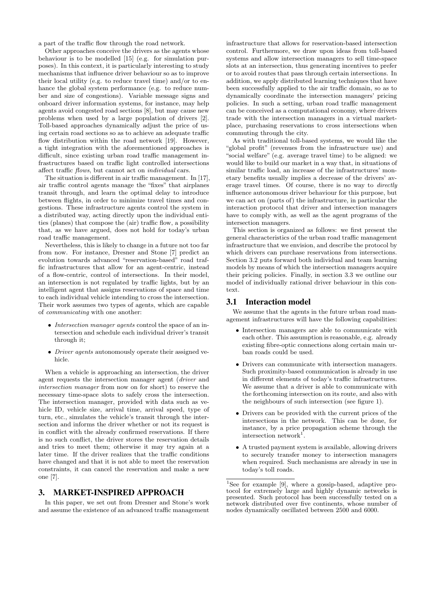a part of the traffic flow through the road network.

Other approaches conceive the drivers as the agents whose behaviour is to be modelled [15] (e.g. for simulation purposes). In this context, it is particularly interesting to study mechanisms that influence driver behaviour so as to improve their local utility (e.g. to reduce travel time) and/or to enhance the global system performance (e.g. to reduce number and size of congestions). Variable message signs and onboard driver information systems, for instance, may help agents avoid congested road sections [8], but may cause new problems when used by a large population of drivers [2]. Toll-based approaches dynamically adjust the price of using certain road sections so as to achieve an adequate traffic flow distribution within the road network [19]. However, a tight integration with the aforementioned approaches is difficult, since existing urban road traffic management infrastructures based on traffic light controlled intersections affect traffic flows, but cannot act on individual cars.

The situation is different in air traffic management. In [17], air traffic control agents manage the "fixes" that airplanes transit through, and learn the optimal delay to introduce between flights, in order to minimize travel times and congestions. These infrastructure agents control the system in a distributed way, acting directly upon the individual entities (planes) that compose the (air) traffic flow, a possibility that, as we have argued, does not hold for today's urban road traffic management.

Nevertheless, this is likely to change in a future not too far from now. For instance, Dresner and Stone [7] predict an evolution towards advanced "reservation-based" road traffic infrastructures that allow for an agent-centric, instead of a flow-centric, control of intersections. In their model, an intersection is not regulated by traffic lights, but by an intelligent agent that assigns reservations of space and time to each individual vehicle intending to cross the intersection. Their work assumes two types of agents, which are capable of communicating with one another:

- Intersection manager agents control the space of an intersection and schedule each individual driver's transit through it;
- Driver agents autonomously operate their assigned vehicle.

When a vehicle is approaching an intersection, the driver agent requests the intersection manager agent (driver and intersection manager from now on for short) to reserve the necessary time-space slots to safely cross the intersection. The intersection manager, provided with data such as vehicle ID, vehicle size, arrival time, arrival speed, type of turn, etc., simulates the vehicle's transit through the intersection and informs the driver whether or not its request is in conflict with the already confirmed reservations. If there is no such conflict, the driver stores the reservation details and tries to meet them; otherwise it may try again at a later time. If the driver realizes that the traffic conditions have changed and that it is not able to meet the reservation constraints, it can cancel the reservation and make a new one [7].

### 3. MARKET-INSPIRED APPROACH

In this paper, we set out from Dresner and Stone's work and assume the existence of an advanced traffic management

infrastructure that allows for reservation-based intersection control. Furthermore, we draw upon ideas from toll-based systems and allow intersection managers to sell time-space slots at an intersection, thus generating incentives to prefer or to avoid routes that pass through certain intersections. In addition, we apply distributed learning techniques that have been successfully applied to the air traffic domain, so as to dynamically coordinate the intersection managers' pricing policies. In such a setting, urban road traffic management can be conceived as a computational economy, where drivers trade with the intersection managers in a virtual marketplace, purchasing reservations to cross intersections when commuting through the city.

As with traditional toll-based systems, we would like the "global profit" (revenues from the infrastructure use) and "social welfare" (e.g. average travel time) to be aligned: we would like to build our market in a way that, in situations of similar traffic load, an increase of the infrastructures' monetary benefits usually implies a decrease of the drivers' average travel times. Of course, there is no way to *directly* influence autonomous driver behaviour for this purpose, but we can act on (parts of) the infrastructure, in particular the interaction protocol that driver and intersection managers have to comply with, as well as the agent programs of the intersection managers.

This section is organized as follows: we first present the general characteristics of the urban road traffic management infrastructure that we envision, and describe the protocol by which drivers can purchase reservations from intersections. Section 3.2 puts forward both individual and team learning models by means of which the intersection managers acquire their pricing policies. Finally, in section 3.3 we outline our model of individually rational driver behaviour in this context.

### 3.1 Interaction model

We assume that the agents in the future urban road management infrastructures will have the following capabilities:

- Intersection managers are able to communicate with each other. This assumption is reasonable, e.g. already existing fibre-optic connections along certain main urban roads could be used.
- Drivers can communicate with intersection managers. Such proximity-based communication is already in use in different elements of today's traffic infrastructures. We assume that a driver is able to communicate with the forthcoming intersection on its route, and also with the neighbours of such intersection (see figure 1).
- Drivers can be provided with the current prices of the intersections in the network. This can be done, for instance, by a price propagation scheme through the intersection network<sup>1</sup>.
- A trusted payment system is available, allowing drivers to securely transfer money to intersection managers when required. Such mechanisms are already in use in today's toll roads.

<sup>&</sup>lt;sup>1</sup>See for example [9], where a gossip-based, adaptive protocol for extremely large and highly dynamic networks is presented. Such protocol has been successfully tested on a network distributed over five continents, whose number of nodes dynamically oscillated between 2500 and 6000.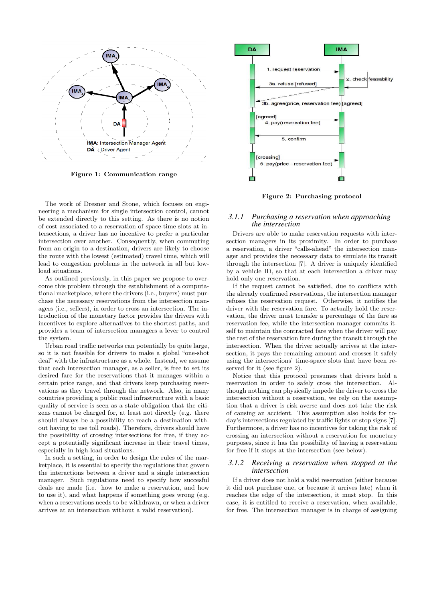

Figure 1: Communication range

The work of Dresner and Stone, which focuses on engineering a mechanism for single intersection control, cannot be extended directly to this setting. As there is no notion of cost associated to a reservation of space-time slots at intersections, a driver has no incentive to prefer a particular intersection over another. Consequently, when commuting from an origin to a destination, drivers are likely to choose the route with the lowest (estimated) travel time, which will lead to congestion problems in the network in all but lowload situations.

As outlined previously, in this paper we propose to overcome this problem through the establishment of a computational marketplace, where the drivers (i.e., buyers) must purchase the necessary reservations from the intersection managers (i.e., sellers), in order to cross an intersection. The introduction of the monetary factor provides the drivers with incentives to explore alternatives to the shortest paths, and provides a team of intersection managers a lever to control the system.

Urban road traffic networks can potentially be quite large, so it is not feasible for drivers to make a global "one-shot deal" with the infrastructure as a whole. Instead, we assume that each intersection manager, as a seller, is free to set its desired fare for the reservations that it manages within a certain price range, and that drivers keep purchasing reservations as they travel through the network. Also, in many countries providing a public road infrastructure with a basic quality of service is seen as a state obligation that the citizens cannot be charged for, at least not directly (e.g. there should always be a possibility to reach a destination without having to use toll roads). Therefore, drivers should have the possibility of crossing intersections for free, if they accept a potentially significant increase in their travel times, especially in high-load situations.

In such a setting, in order to design the rules of the marketplace, it is essential to specify the regulations that govern the interactions between a driver and a single intersection manager. Such regulations need to specify how succesful deals are made (i.e. how to make a reservation, and how to use it), and what happens if something goes wrong (e.g. when a reservations needs to be withdrawn, or when a driver arrives at an intersection without a valid reservation).



Figure 2: Purchasing protocol

### *3.1.1 Purchasing a reservation when approaching the intersection*

Drivers are able to make reservation requests with intersection managers in its proximity. In order to purchase a reservation, a driver "calls-ahead" the intersection manager and provides the necessary data to simulate its transit through the intersection [7]. A driver is uniquely identified by a vehicle ID, so that at each intersection a driver may hold only one reservation.

If the request cannot be satisfied, due to conflicts with the already confirmed reservations, the intersection manager refuses the reservation request. Otherwise, it notifies the driver with the reservation fare. To actually hold the reservation, the driver must transfer a percentage of the fare as reservation fee, while the intersection manager commits itself to maintain the contracted fare when the driver will pay the rest of the reservation fare during the transit through the intersection. When the driver actually arrives at the intersection, it pays the remaining amount and crosses it safely using the intersections' time-space slots that have been reserved for it (see figure 2).

Notice that this protocol presumes that drivers hold a reservation in order to safely cross the intersection. Although nothing can physically impede the driver to cross the intersection without a reservation, we rely on the assumption that a driver is risk averse and does not take the risk of causing an accident. This assumption also holds for today's intersections regulated by traffic lights or stop signs [7]. Furthermore, a driver has no incentives for taking the risk of crossing an intersection without a reservation for monetary purposes, since it has the possibility of having a reservation for free if it stops at the intersection (see below).

#### *3.1.2 Receiving a reservation when stopped at the intersection*

If a driver does not hold a valid reservation (either because it did not purchase one, or because it arrives late) when it reaches the edge of the intersection, it must stop. In this case, it is entitled to receive a reservation, when available, for free. The intersection manager is in charge of assigning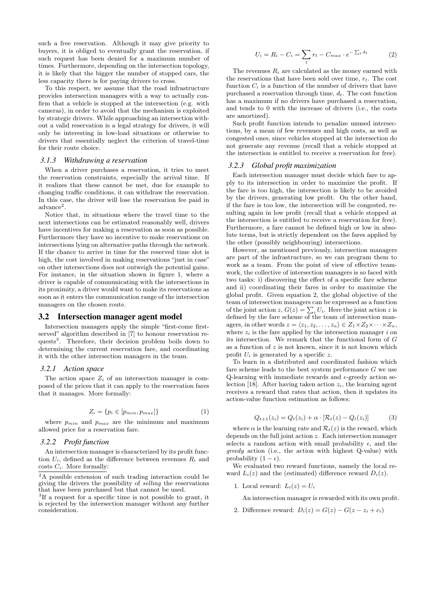such a free reservation. Although it may give priority to buyers, it is obliged to eventually grant the reservation, if such request has been denied for a maximum number of times. Furthermore, depending on the intersection topology, it is likely that the bigger the number of stopped cars, the less capacity there is for paying drivers to cross.

To this respect, we assume that the road infrastructure provides intersection managers with a way to actually confirm that a vehicle is stopped at the intersection (e.g. with cameras), in order to avoid that the mechanism is exploited by strategic drivers. While approaching an intersection without a valid reservation is a legal strategy for drivers, it will only be interesting in low-load situations or otherwise to drivers that essentially neglect the criterion of travel-time for their route choice.

### *3.1.3 Withdrawing a reservation*

When a driver purchases a reservation, it tries to meet the reservation constraints, especially the arrival time. If it realizes that these cannot be met, due for example to changing traffic conditions, it can withdraw the reservation. In this case, the driver will lose the reservation fee paid in advance<sup>2</sup> .

Notice that, in situations where the travel time to the next intersections can be estimated reasonably well, drivers have incentives for making a reservation as soon as possible. Furthermore they have no incentive to make reservations on intersections lying on alternative paths through the network. If the chance to arrive in time for the reserved time slot is high, the cost involved in making reservations "just in case" on other intersections does not outweigh the potential gains. For instance, in the situation shown in figure 1, where a driver is capable of communicating with the intersections in its proximity, a driver would want to make its reservations as soon as it enters the communication range of the intersection managers on the chosen route.

### 3.2 Intersection manager agent model

Intersection managers apply the simple "first-come firstserved" algorithm described in [7] to honour reservation requests<sup>3</sup>. Therefore, their decision problem boils down to determining the current reservation fare, and coordinating it with the other intersection managers in the team.

#### *3.2.1 Action space*

The action space  $Z_i$  of an intersection manager is composed of the prices that it can apply to the reservation fares that it manages. More formally:

$$
Z_i = \{ p_i \in [p_{min}, p_{max}] \}
$$
 (1)

where  $p_{min}$  and  $p_{max}$  are the minimum and maximum allowed price for a reservation fare.

#### *3.2.2 Profit function*

An intersection manager is characterized by its profit function  $U_i$ , defined as the difference between revenues  $R_i$  and costs  $C_i$ . More formally:

 $\sqrt[2]{2A}$  possible extension of such trading interaction could be giving the drivers the possibility of selling the reservations that have been purchased but that cannot be used.

<sup>3</sup>If a request for a specific time is not possible to grant, it is rejected by the intersection manager without any further consideration.

$$
U_i = R_i - C_i = \sum_t r_t - C_{max} \cdot e^{-\sum_t d_t} \tag{2}
$$

The revenues  $R_i$  are calculated as the money earned with the reservations that have been sold over time,  $r_t$ . The cost function  $C_i$  is a function of the number of drivers that have purchased a reservation through time,  $d_t$ . The cost function has a maximum if no drivers have purchased a reservation, and tends to 0 with the increase of drivers (i.e., the costs are amortized).

Such profit function intends to penalize unused intersections, by a mean of few revenues and high costs, as well as congested ones, since vehicles stopped at the intersection do not generate any revenue (recall that a vehicle stopped at the intersection is entitled to receive a reservation for free).

#### *3.2.3 Global profit maximization*

Each intersection manager must decide which fare to apply to its intersection in order to maximize the profit. If the fare is too high, the intersection is likely to be avoided by the drivers, generating low profit. On the other hand, if the fare is too low, the intersection will be congested, resulting again in low profit (recall that a vehicle stopped at the intersection is entitled to receive a reservation for free). Furthermore, a fare cannot be defined high or low in absolute terms, but is strictly dependent on the fares applied by the other (possibly neighbouring) intersections.

However, as mentioned previously, intersection managers are part of the infrastructure, so we can program them to work as a team. From the point of view of effective teamwork, the collective of intersection managers is so faced with two tasks: i) discovering the effect of a specific fare scheme and ii) coordinating their fares in order to maximize the global profit. Given equation 2, the global objective of the team of intersection managers can be expressed as a function team of intersection managers can be expressed as a function<br>of the joint action z,  $G(z) = \sum_i U_i$ . Here the joint action z is defined by the fare scheme of the team of intersection managers, in other words  $z = \langle z_1, z_2, \ldots, z_n \rangle \in Z_1 \times Z_2 \times \cdots \times Z_n$ , where  $z_i$  is the fare applied by the intersection manager i on its intersection. We remark that the functional form of G as a function of  $z$  is not known, since it is not known which profit  $U_i$  is generated by a specific z.

To learn in a distributed and coordinated fashion which fare scheme leads to the best system performance  $G$  we use Q-learning with immediate rewards and  $\epsilon$ -greedy action selection [18]. After having taken action  $z_i$ , the learning agent receives a reward that rates that action, then it updates its action-value function estimation as follows:

$$
Q_{t+1}(z_i) = Q_t(z_i) + \alpha \cdot [\mathcal{R}_t(z) - Q_t(z_i)] \tag{3}
$$

where  $\alpha$  is the learning rate and  $\mathcal{R}_t(z)$  is the reward, which depends on the full joint action z. Each intersection manager selects a random action with small probability  $\epsilon$ , and the greedy action (i.e., the action with highest Q-value) with probability  $(1 - \epsilon)$ .

We evaluated two reward functions, namely the local reward  $L_i(z)$  and the (estimated) difference reward  $D_i(z)$ .

1. Local reward:  $L_i(z) = U_i$ 

An intersection manager is rewarded with its own profit.

2. Difference reward:  $D_i(z) = G(z) - G(z - z_i + c_i)$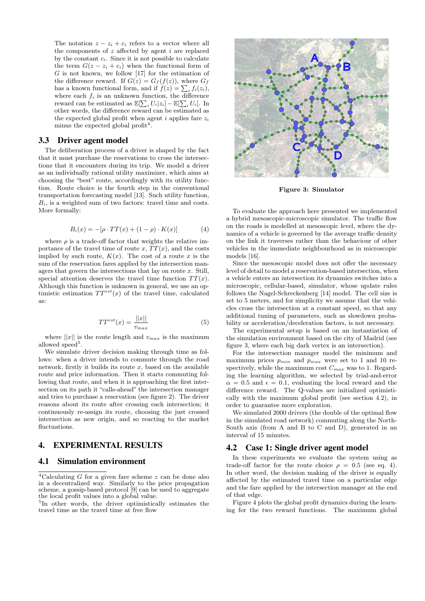The notation  $z - z_i + c_i$  refers to a vector where all the components of  $z$  affected by agent  $i$  are replaced by the constant  $c_i$ . Since it is not possible to calculate the term  $G(z - z_i + c_i)$  when the functional form of  $G$  is not known, we follow [17] for the estimation of the difference reward. If  $G(z) = G<sub>f</sub>(f(z))$ , where  $G<sub>f</sub>$ the difference reward. If  $G(z) = G_f(f(z))$ , where  $G_f$ <br>has a known functional form, and if  $f(z) = \sum_i f_i(z_i)$ , where each  $f_i$  is an unknown function, the difference reward can be estimated as  $\mathbb{E}[\sum_i U_i | z_i] - \mathbb{E}[\sum_i U_i]$ . In other words, the difference reward can be estimated as the expected global profit when agent  $i$  applies fare  $z_i$ minus the expected global profit<sup>4</sup>.

### 3.3 Driver agent model

The deliberation process of a driver is shaped by the fact that it must purchase the reservations to cross the intersections that it encounters during its trip. We model a driver as an individually rational utility maximizer, which aims at choosing the "best" route, accordingly with its utility function. Route choice is the fourth step in the conventional transportation forecasting model [13]. Such utility function,  $B_i$ , is a weighted sum of two factors: travel time and costs. More formally:

$$
B_i(x) = -[\rho \cdot TT(x) + (1 - \rho) \cdot K(x)] \tag{4}
$$

where  $\rho$  is a trade-off factor that weights the relative importance of the travel time of route x,  $TT(x)$ , and the costs implied by such route,  $K(x)$ . The cost of a route x is the sum of the reservation fares applied by the intersection managers that govern the intersections that lay on route  $x$ . Still, special attention deserves the travel time function  $TT(x)$ . Although this function is unknown in general, we use an optimistic estimation  $TT^{est}(x)$  of the travel time, calculated as:

$$
TT^{est}(x) = \frac{||x||}{v_{max}}\tag{5}
$$

where  $||x||$  is the route length and  $v_{max}$  is the maximum allowed speed<sup>5</sup>.

We simulate driver decision making through time as follows: when a driver intends to commute through the road network, firstly it builds its route  $x$ , based on the available route and price information. Then it starts commuting following that route, and when it is approaching the first intersection on its path it "calls-ahead" the intersection manager and tries to purchase a reservation (see figure 2). The driver reasons about its route after crossing each intersection; it continuously re-assign its route, choosing the just crossed intersection as new origin, and so reacting to the market fluctuations.

# 4. EXPERIMENTAL RESULTS

### 4.1 Simulation environment

 $\sqrt[4]{4}$ Calculating G for a given fare scheme z can be done also in a decentralized way. Similarly to the price propagation scheme, a gossip-based protocol [9] can be used to aggregate the local profit values into a global value.

5 In other words, the driver optimistically estimates the travel time as the travel time at free flow



Figure 3: Simulator

To evaluate the approach here presented we implemented a hybrid mesoscopic-microscopic simulator. The traffic flow on the roads is modelled at mesoscopic level, where the dynamics of a vehicle is governed by the average traffic density on the link it traverses rather than the behaviour of other vehicles in the immediate neighbourhood as in microscopic models [16].

Since the mesoscopic model does not offer the necessary level of detail to model a reservation-based intersection, when a vehicle enters an intersection its dynamics switches into a microscopic, cellular-based, simulator, whose update rules follows the Nagel-Schreckenberg [14] model. The cell size is set to 5 meters, and for simplicity we assume that the vehicles cross the intersection at a constant speed, so that any additional tuning of parameters, such as slowdown probability or acceleration/deceleration factors, is not necessary.

The experimental setup is based on an instantiation of the simulation environment based on the city of Madrid (see figure 3, where each big dark vertex is an intersection).

For the intersection manager model the minimum and maximum prices  $p_{min}$  and  $p_{max}$  were set to 1 and 10 respectively, while the maximum cost  $C_{max}$  was to 1. Regarding the learning algorithm, we selected by trial-and-error  $\alpha = 0.5$  and  $\epsilon = 0.1$ , evaluating the local reward and the difference reward. The Q-values are initialized optimistically with the maximum global profit (see section 4.2), in order to guarantee more exploration.

We simulated 2000 drivers (the double of the optimal flow in the simulated road network) commuting along the North-South axis (from A and B to C and D), generated in an interval of 15 minutes.

### 4.2 Case 1: Single driver agent model

In these experiments we evaluate the system using as trade-off factor for the route choice  $\rho = 0.5$  (see eq. 4). In other word, the decision making of the driver is equally affected by the estimated travel time on a particular edge and the fare applied by the intersection manager at the end of that edge.

Figure 4 plots the global profit dynamics during the learning for the two reward functions. The maximum global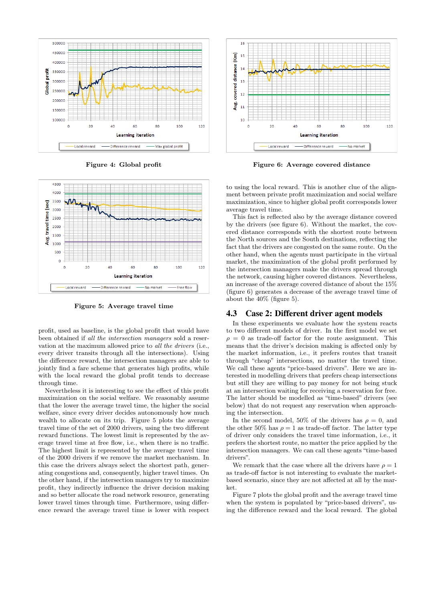

Figure 4: Global profit



Figure 5: Average travel time

profit, used as baseline, is the global profit that would have been obtained if all the intersection managers sold a reservation at the maximum allowed price to all the drivers (i.e., every driver transits through all the intersections). Using the difference reward, the intersection managers are able to jointly find a fare scheme that generates high profits, while with the local reward the global profit tends to decrease through time.

Nevertheless it is interesting to see the effect of this profit maximization on the social welfare. We reasonably assume that the lower the average travel time, the higher the social welfare, since every driver decides autonomously how much wealth to allocate on its trip. Figure 5 plots the average travel time of the set of 2000 drivers, using the two different reward functions. The lowest limit is represented by the average travel time at free flow, i.e., when there is no traffic. The highest limit is represented by the average travel time of the 2000 drivers if we remove the market mechanism. In this case the drivers always select the shortest path, generating congestions and, consequently, higher travel times. On the other hand, if the intersection managers try to maximize profit, they indirectly influence the driver decision making and so better allocate the road network resource, generating lower travel times through time. Furthermore, using difference reward the average travel time is lower with respect



Figure 6: Average covered distance

to using the local reward. This is another clue of the alignment between private profit maximization and social welfare maximization, since to higher global profit corresponds lower average travel time.

This fact is reflected also by the average distance covered by the drivers (see figure 6). Without the market, the covered distance corresponds with the shortest route between the North sources and the South destinations, reflecting the fact that the drivers are congested on the same route. On the other hand, when the agents must participate in the virtual market, the maximization of the global profit performed by the intersection managers make the drivers spread through the network, causing higher covered distances. Nevertheless, an increase of the average covered distance of about the 15% (figure 6) generates a decrease of the average travel time of about the 40% (figure 5).

### 4.3 Case 2: Different driver agent models

In these experiments we evaluate how the system reacts to two different models of driver. In the first model we set  $\rho = 0$  as trade-off factor for the route assignment. This means that the driver's decision making is affected only by the market information, i.e., it prefers routes that transit through "cheap" intersections, no matter the travel time. We call these agents "price-based drivers". Here we are interested in modelling drivers that prefers cheap intersections but still they are willing to pay money for not being stuck at an intersection waiting for receiving a reservation for free. The latter should be modelled as "time-based" drivers (see below) that do not request any reservation when approaching the intersection.

In the second model, 50% of the drivers has  $\rho = 0$ , and the other 50% has  $\rho = 1$  as trade-off factor. The latter type of driver only considers the travel time information, i.e., it prefers the shortest route, no matter the price applied by the intersection managers. We can call these agents "time-based drivers".

We remark that the case where all the drivers have  $\rho = 1$ as trade-off factor is not interesting to evaluate the marketbased scenario, since they are not affected at all by the market.

Figure 7 plots the global profit and the average travel time when the system is populated by "price-based drivers", using the difference reward and the local reward. The global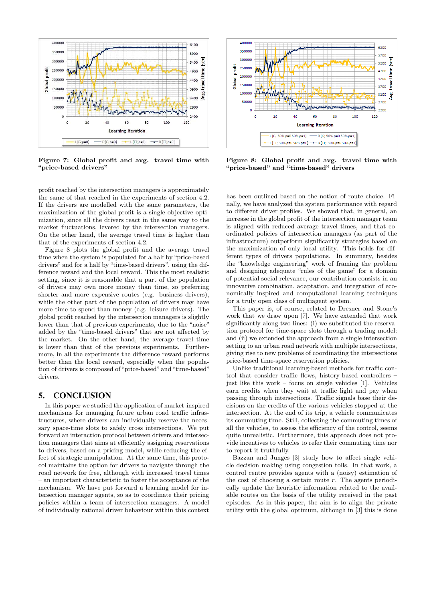

Figure 7: Global profit and avg. travel time with "price-based drivers"

profit reached by the intersection managers is approximately the same of that reached in the experiments of section 4.2. If the drivers are modelled with the same parameters, the maximization of the global profit is a single objective optimization, since all the drivers react in the same way to the market fluctuations, levered by the intersection managers. On the other hand, the average travel time is higher than that of the experiments of section 4.2.

Figure 8 plots the global profit and the average travel time when the system is populated for a half by "price-based drivers" and for a half by "time-based drivers", using the difference reward and the local reward. This the most realistic setting, since it is reasonable that a part of the population of drivers may own more money than time, so preferring shorter and more expensive routes (e.g. business drivers), while the other part of the population of drivers may have more time to spend than money (e.g. leisure drivers). The global profit reached by the intersection managers is slightly lower than that of previous experiments, due to the "noise" added by the "time-based drivers" that are not affected by the market. On the other hand, the average travel time is lower than that of the previous experiments. Furthermore, in all the experiments the difference reward performs better than the local reward, especially when the population of drivers is composed of "price-based" and "time-based" drivers.

# 5. CONCLUSION

In this paper we studied the application of market-inspired mechanisms for managing future urban road traffic infrastructures, where drivers can individually reserve the necessary space-time slots to safely cross intersections. We put forward an interaction protocol between drivers and intersection managers that aims at efficiently assigning reservations to drivers, based on a pricing model, while reducing the effect of strategic manipulation. At the same time, this protocol maintains the option for drivers to navigate through the road network for free, although with increased travel times – an important characteristic to foster the acceptance of the mechanism. We have put forward a learning model for intersection manager agents, so as to coordinate their pricing policies within a team of intersection managers. A model of individually rational driver behaviour within this context



Figure 8: Global profit and avg. travel time with "price-based" and "time-based" drivers

has been outlined based on the notion of route choice. Finally, we have analyzed the system performance with regard to different driver profiles. We showed that, in general, an increase in the global profit of the intersection manager team is aligned with reduced average travel times, and that coordinated policies of intersection managers (as part of the infrastructure) outperform significantly strategies based on the maximization of only local utility. This holds for different types of drivers populations. In summary, besides the "knowledge engineering" work of framing the problem and designing adequate "rules of the game" for a domain of potential social relevance, our contribution consists in an innovative combination, adaptation, and integration of economically inspired and computational learning techniques for a truly open class of multiagent system.

This paper is, of course, related to Dresner and Stone's work that we draw upon [7]. We have extended that work significantly along two lines: (i) we substituted the reservation protocol for time-space slots through a trading model; and (ii) we extended the approach from a single intersection setting to an urban road network with multiple intersections, giving rise to new problems of coordinating the intersections price-based time-space reservation policies.

Unlike traditional learning-based methods for traffic control that consider traffic flows, history-based controllers – just like this work – focus on single vehicles [1]. Vehicles earn credits when they wait at traffic light and pay when passing through intersections. Traffic signals base their decisions on the credits of the various vehicles stopped at the intersection. At the end of its trip, a vehicle communicates its commuting time. Still, collecting the commuting times of all the vehicles, to assess the efficiency of the control, seems quite unrealistic. Furthermore, this approach does not provide incentives to vehicles to refer their commuting time nor to report it truthfully.

Bazzan and Junges [3] study how to affect single vehicle decision making using congestion tolls. In that work, a control centre provides agents with a (noisy) estimation of the cost of choosing a certain route  $r$ . The agents periodically update the heuristic information related to the available routes on the basis of the utility received in the past episodes. As in this paper, the aim is to align the private utility with the global optimum, although in [3] this is done